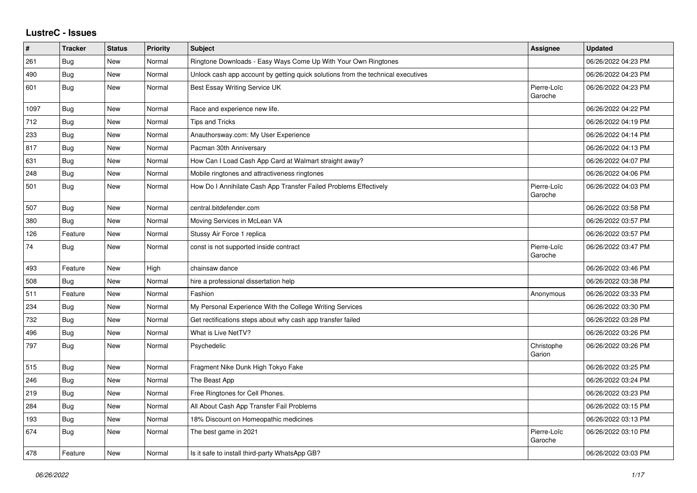## **LustreC - Issues**

| #    | <b>Tracker</b> | <b>Status</b> | <b>Priority</b> | <b>Subject</b>                                                                   | <b>Assignee</b>        | <b>Updated</b>      |
|------|----------------|---------------|-----------------|----------------------------------------------------------------------------------|------------------------|---------------------|
| 261  | Bug            | New           | Normal          | Ringtone Downloads - Easy Ways Come Up With Your Own Ringtones                   |                        | 06/26/2022 04:23 PM |
| 490  | <b>Bug</b>     | New           | Normal          | Unlock cash app account by getting quick solutions from the technical executives |                        | 06/26/2022 04:23 PM |
| 601  | Bug            | New           | Normal          | Best Essay Writing Service UK                                                    | Pierre-Loïc<br>Garoche | 06/26/2022 04:23 PM |
| 1097 | Bug            | New           | Normal          | Race and experience new life.                                                    |                        | 06/26/2022 04:22 PM |
| 712  | Bug            | New           | Normal          | <b>Tips and Tricks</b>                                                           |                        | 06/26/2022 04:19 PM |
| 233  | <b>Bug</b>     | New           | Normal          | Anauthorsway.com: My User Experience                                             |                        | 06/26/2022 04:14 PM |
| 817  | Bug            | New           | Normal          | Pacman 30th Anniversary                                                          |                        | 06/26/2022 04:13 PM |
| 631  | Bug            | New           | Normal          | How Can I Load Cash App Card at Walmart straight away?                           |                        | 06/26/2022 04:07 PM |
| 248  | Bug            | New           | Normal          | Mobile ringtones and attractiveness ringtones                                    |                        | 06/26/2022 04:06 PM |
| 501  | Bug            | <b>New</b>    | Normal          | How Do I Annihilate Cash App Transfer Failed Problems Effectively                | Pierre-Loïc<br>Garoche | 06/26/2022 04:03 PM |
| 507  | Bug            | New           | Normal          | central.bitdefender.com                                                          |                        | 06/26/2022 03:58 PM |
| 380  | Bug            | <b>New</b>    | Normal          | Moving Services in McLean VA                                                     |                        | 06/26/2022 03:57 PM |
| 126  | Feature        | New           | Normal          | Stussy Air Force 1 replica                                                       |                        | 06/26/2022 03:57 PM |
| 74   | <b>Bug</b>     | New           | Normal          | const is not supported inside contract                                           | Pierre-Loïc<br>Garoche | 06/26/2022 03:47 PM |
| 493  | Feature        | New           | High            | chainsaw dance                                                                   |                        | 06/26/2022 03:46 PM |
| 508  | Bug            | New           | Normal          | hire a professional dissertation help                                            |                        | 06/26/2022 03:38 PM |
| 511  | Feature        | New           | Normal          | Fashion                                                                          | Anonymous              | 06/26/2022 03:33 PM |
| 234  | Bug            | New           | Normal          | My Personal Experience With the College Writing Services                         |                        | 06/26/2022 03:30 PM |
| 732  | <b>Bug</b>     | New           | Normal          | Get rectifications steps about why cash app transfer failed                      |                        | 06/26/2022 03:28 PM |
| 496  | <b>Bug</b>     | New           | Normal          | What is Live NetTV?                                                              |                        | 06/26/2022 03:26 PM |
| 797  | Bug            | <b>New</b>    | Normal          | Psychedelic                                                                      | Christophe<br>Garion   | 06/26/2022 03:26 PM |
| 515  | Bug            | New           | Normal          | Fragment Nike Dunk High Tokyo Fake                                               |                        | 06/26/2022 03:25 PM |
| 246  | Bug            | New           | Normal          | The Beast App                                                                    |                        | 06/26/2022 03:24 PM |
| 219  | Bug            | New           | Normal          | Free Ringtones for Cell Phones.                                                  |                        | 06/26/2022 03:23 PM |
| 284  | Bug            | <b>New</b>    | Normal          | All About Cash App Transfer Fail Problems                                        |                        | 06/26/2022 03:15 PM |
| 193  | Bug            | New           | Normal          | 18% Discount on Homeopathic medicines                                            |                        | 06/26/2022 03:13 PM |
| 674  | Bug            | <b>New</b>    | Normal          | The best game in 2021                                                            | Pierre-Loïc<br>Garoche | 06/26/2022 03:10 PM |
| 478  | Feature        | <b>New</b>    | Normal          | Is it safe to install third-party WhatsApp GB?                                   |                        | 06/26/2022 03:03 PM |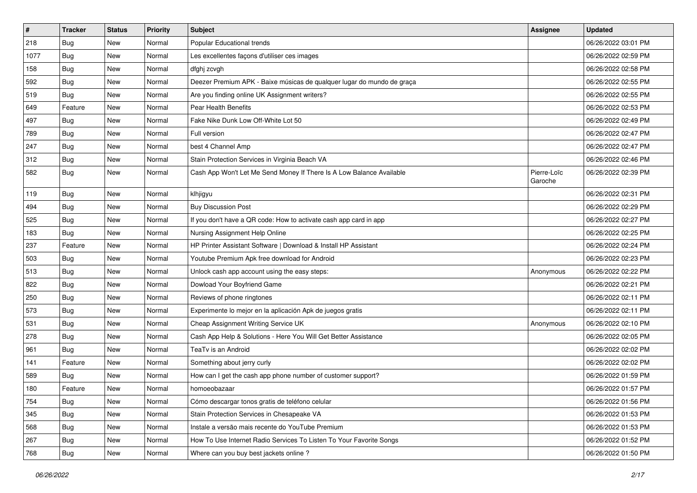| $\vert$ # | <b>Tracker</b> | <b>Status</b> | <b>Priority</b> | <b>Subject</b>                                                         | <b>Assignee</b>        | <b>Updated</b>      |
|-----------|----------------|---------------|-----------------|------------------------------------------------------------------------|------------------------|---------------------|
| 218       | Bug            | New           | Normal          | Popular Educational trends                                             |                        | 06/26/2022 03:01 PM |
| 1077      | Bug            | <b>New</b>    | Normal          | Les excellentes façons d'utiliser ces images                           |                        | 06/26/2022 02:59 PM |
| 158       | <b>Bug</b>     | New           | Normal          | dfghj zcvgh                                                            |                        | 06/26/2022 02:58 PM |
| 592       | <b>Bug</b>     | New           | Normal          | Deezer Premium APK - Baixe músicas de qualquer lugar do mundo de graça |                        | 06/26/2022 02:55 PM |
| 519       | Bug            | New           | Normal          | Are you finding online UK Assignment writers?                          |                        | 06/26/2022 02:55 PM |
| 649       | Feature        | New           | Normal          | Pear Health Benefits                                                   |                        | 06/26/2022 02:53 PM |
| 497       | <b>Bug</b>     | New           | Normal          | Fake Nike Dunk Low Off-White Lot 50                                    |                        | 06/26/2022 02:49 PM |
| 789       | Bug            | New           | Normal          | Full version                                                           |                        | 06/26/2022 02:47 PM |
| 247       | <b>Bug</b>     | New           | Normal          | best 4 Channel Amp                                                     |                        | 06/26/2022 02:47 PM |
| 312       | Bug            | New           | Normal          | Stain Protection Services in Virginia Beach VA                         |                        | 06/26/2022 02:46 PM |
| 582       | Bug            | New           | Normal          | Cash App Won't Let Me Send Money If There Is A Low Balance Available   | Pierre-Loïc<br>Garoche | 06/26/2022 02:39 PM |
| 119       | Bug            | <b>New</b>    | Normal          | klhjigyu                                                               |                        | 06/26/2022 02:31 PM |
| 494       | Bug            | New           | Normal          | <b>Buy Discussion Post</b>                                             |                        | 06/26/2022 02:29 PM |
| 525       | Bug            | New           | Normal          | If you don't have a QR code: How to activate cash app card in app      |                        | 06/26/2022 02:27 PM |
| 183       | Bug            | New           | Normal          | Nursing Assignment Help Online                                         |                        | 06/26/2022 02:25 PM |
| 237       | Feature        | New           | Normal          | HP Printer Assistant Software   Download & Install HP Assistant        |                        | 06/26/2022 02:24 PM |
| 503       | Bug            | New           | Normal          | Youtube Premium Apk free download for Android                          |                        | 06/26/2022 02:23 PM |
| 513       | <b>Bug</b>     | New           | Normal          | Unlock cash app account using the easy steps:                          | Anonymous              | 06/26/2022 02:22 PM |
| 822       | <b>Bug</b>     | New           | Normal          | Dowload Your Boyfriend Game                                            |                        | 06/26/2022 02:21 PM |
| 250       | <b>Bug</b>     | New           | Normal          | Reviews of phone ringtones                                             |                        | 06/26/2022 02:11 PM |
| 573       | Bug            | New           | Normal          | Experimente lo mejor en la aplicación Apk de juegos gratis             |                        | 06/26/2022 02:11 PM |
| 531       | Bug            | New           | Normal          | Cheap Assignment Writing Service UK                                    | Anonymous              | 06/26/2022 02:10 PM |
| 278       | <b>Bug</b>     | New           | Normal          | Cash App Help & Solutions - Here You Will Get Better Assistance        |                        | 06/26/2022 02:05 PM |
| 961       | Bug            | New           | Normal          | TeaTv is an Android                                                    |                        | 06/26/2022 02:02 PM |
| 141       | Feature        | New           | Normal          | Something about jerry curly                                            |                        | 06/26/2022 02:02 PM |
| 589       | Bug            | New           | Normal          | How can I get the cash app phone number of customer support?           |                        | 06/26/2022 01:59 PM |
| 180       | Feature        | New           | Normal          | homoeobazaar                                                           |                        | 06/26/2022 01:57 PM |
| 754       | <b>Bug</b>     | New           | Normal          | Cómo descargar tonos gratis de teléfono celular                        |                        | 06/26/2022 01:56 PM |
| 345       | Bug            | New           | Normal          | Stain Protection Services in Chesapeake VA                             |                        | 06/26/2022 01:53 PM |
| 568       | Bug            | New           | Normal          | Instale a versão mais recente do YouTube Premium                       |                        | 06/26/2022 01:53 PM |
| 267       | <b>Bug</b>     | New           | Normal          | How To Use Internet Radio Services To Listen To Your Favorite Songs    |                        | 06/26/2022 01:52 PM |
| 768       | <b>Bug</b>     | New           | Normal          | Where can you buy best jackets online?                                 |                        | 06/26/2022 01:50 PM |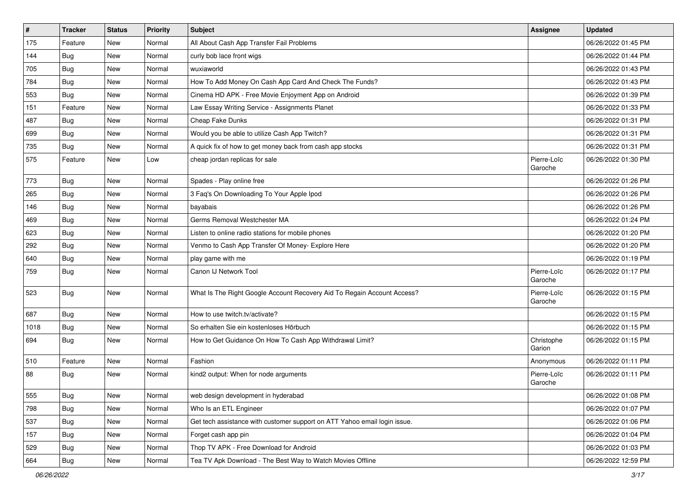| #    | <b>Tracker</b> | <b>Status</b> | <b>Priority</b> | Subject                                                                   | <b>Assignee</b>        | <b>Updated</b>      |
|------|----------------|---------------|-----------------|---------------------------------------------------------------------------|------------------------|---------------------|
| 175  | Feature        | New           | Normal          | All About Cash App Transfer Fail Problems                                 |                        | 06/26/2022 01:45 PM |
| 144  | Bug            | New           | Normal          | curly bob lace front wigs                                                 |                        | 06/26/2022 01:44 PM |
| 705  | Bug            | New           | Normal          | wuxiaworld                                                                |                        | 06/26/2022 01:43 PM |
| 784  | <b>Bug</b>     | New           | Normal          | How To Add Money On Cash App Card And Check The Funds?                    |                        | 06/26/2022 01:43 PM |
| 553  | Bug            | New           | Normal          | Cinema HD APK - Free Movie Enjoyment App on Android                       |                        | 06/26/2022 01:39 PM |
| 151  | Feature        | New           | Normal          | Law Essay Writing Service - Assignments Planet                            |                        | 06/26/2022 01:33 PM |
| 487  | <b>Bug</b>     | New           | Normal          | Cheap Fake Dunks                                                          |                        | 06/26/2022 01:31 PM |
| 699  | Bug            | New           | Normal          | Would you be able to utilize Cash App Twitch?                             |                        | 06/26/2022 01:31 PM |
| 735  | Bug            | New           | Normal          | A quick fix of how to get money back from cash app stocks                 |                        | 06/26/2022 01:31 PM |
| 575  | Feature        | New           | Low             | cheap jordan replicas for sale                                            | Pierre-Loïc<br>Garoche | 06/26/2022 01:30 PM |
| 773  | <b>Bug</b>     | New           | Normal          | Spades - Play online free                                                 |                        | 06/26/2022 01:26 PM |
| 265  | Bug            | New           | Normal          | 3 Faq's On Downloading To Your Apple Ipod                                 |                        | 06/26/2022 01:26 PM |
| 146  | <b>Bug</b>     | New           | Normal          | bayabais                                                                  |                        | 06/26/2022 01:26 PM |
| 469  | <b>Bug</b>     | New           | Normal          | Germs Removal Westchester MA                                              |                        | 06/26/2022 01:24 PM |
| 623  | Bug            | New           | Normal          | Listen to online radio stations for mobile phones                         |                        | 06/26/2022 01:20 PM |
| 292  | <b>Bug</b>     | New           | Normal          | Venmo to Cash App Transfer Of Money- Explore Here                         |                        | 06/26/2022 01:20 PM |
| 640  | Bug            | New           | Normal          | play game with me                                                         |                        | 06/26/2022 01:19 PM |
| 759  | Bug            | New           | Normal          | Canon IJ Network Tool                                                     | Pierre-Loïc<br>Garoche | 06/26/2022 01:17 PM |
| 523  | <b>Bug</b>     | New           | Normal          | What Is The Right Google Account Recovery Aid To Regain Account Access?   | Pierre-Loïc<br>Garoche | 06/26/2022 01:15 PM |
| 687  | Bug            | New           | Normal          | How to use twitch.tv/activate?                                            |                        | 06/26/2022 01:15 PM |
| 1018 | Bug            | New           | Normal          | So erhalten Sie ein kostenloses Hörbuch                                   |                        | 06/26/2022 01:15 PM |
| 694  | <b>Bug</b>     | New           | Normal          | How to Get Guidance On How To Cash App Withdrawal Limit?                  | Christophe<br>Garion   | 06/26/2022 01:15 PM |
| 510  | Feature        | New           | Normal          | Fashion                                                                   | Anonymous              | 06/26/2022 01:11 PM |
| 88   | Bug            | New           | Normal          | kind2 output: When for node arguments                                     | Pierre-Loïc<br>Garoche | 06/26/2022 01:11 PM |
| 555  | Bug            | New           | Normal          | web design development in hyderabad                                       |                        | 06/26/2022 01:08 PM |
| 798  | Bug            | New           | Normal          | Who Is an ETL Engineer                                                    |                        | 06/26/2022 01:07 PM |
| 537  | Bug            | New           | Normal          | Get tech assistance with customer support on ATT Yahoo email login issue. |                        | 06/26/2022 01:06 PM |
| 157  | <b>Bug</b>     | New           | Normal          | Forget cash app pin                                                       |                        | 06/26/2022 01:04 PM |
| 529  | Bug            | New           | Normal          | Thop TV APK - Free Download for Android                                   |                        | 06/26/2022 01:03 PM |
| 664  | <b>Bug</b>     | New           | Normal          | Tea TV Apk Download - The Best Way to Watch Movies Offline                |                        | 06/26/2022 12:59 PM |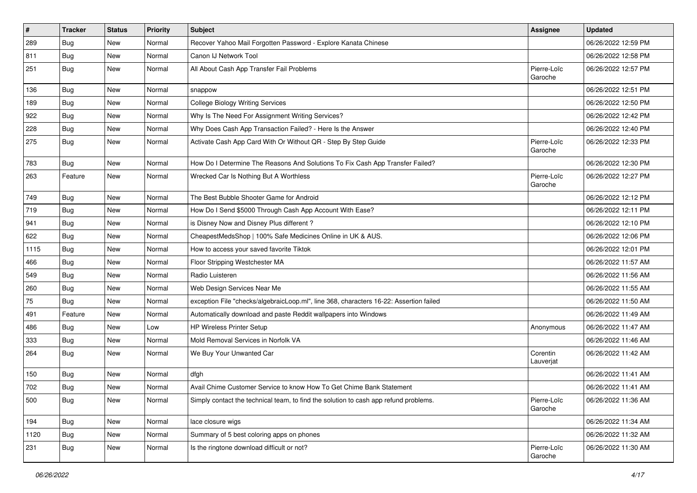| $\vert$ # | <b>Tracker</b> | <b>Status</b> | <b>Priority</b> | <b>Subject</b>                                                                         | Assignee               | <b>Updated</b>      |
|-----------|----------------|---------------|-----------------|----------------------------------------------------------------------------------------|------------------------|---------------------|
| 289       | <b>Bug</b>     | New           | Normal          | Recover Yahoo Mail Forgotten Password - Explore Kanata Chinese                         |                        | 06/26/2022 12:59 PM |
| 811       | Bug            | New           | Normal          | Canon IJ Network Tool                                                                  |                        | 06/26/2022 12:58 PM |
| 251       | Bug            | New           | Normal          | All About Cash App Transfer Fail Problems                                              | Pierre-Loïc<br>Garoche | 06/26/2022 12:57 PM |
| 136       | Bug            | <b>New</b>    | Normal          | snappow                                                                                |                        | 06/26/2022 12:51 PM |
| 189       | <b>Bug</b>     | New           | Normal          | <b>College Biology Writing Services</b>                                                |                        | 06/26/2022 12:50 PM |
| 922       | Bug            | New           | Normal          | Why Is The Need For Assignment Writing Services?                                       |                        | 06/26/2022 12:42 PM |
| 228       | Bug            | New           | Normal          | Why Does Cash App Transaction Failed? - Here Is the Answer                             |                        | 06/26/2022 12:40 PM |
| 275       | Bug            | New           | Normal          | Activate Cash App Card With Or Without QR - Step By Step Guide                         | Pierre-Loïc<br>Garoche | 06/26/2022 12:33 PM |
| 783       | Bug            | <b>New</b>    | Normal          | How Do I Determine The Reasons And Solutions To Fix Cash App Transfer Failed?          |                        | 06/26/2022 12:30 PM |
| 263       | Feature        | New           | Normal          | Wrecked Car Is Nothing But A Worthless                                                 | Pierre-Loïc<br>Garoche | 06/26/2022 12:27 PM |
| 749       | Bug            | New           | Normal          | The Best Bubble Shooter Game for Android                                               |                        | 06/26/2022 12:12 PM |
| 719       | Bug            | <b>New</b>    | Normal          | How Do I Send \$5000 Through Cash App Account With Ease?                               |                        | 06/26/2022 12:11 PM |
| 941       | Bug            | New           | Normal          | is Disney Now and Disney Plus different?                                               |                        | 06/26/2022 12:10 PM |
| 622       | Bug            | New           | Normal          | CheapestMedsShop   100% Safe Medicines Online in UK & AUS.                             |                        | 06/26/2022 12:06 PM |
| 1115      | Bug            | New           | Normal          | How to access your saved favorite Tiktok                                               |                        | 06/26/2022 12:01 PM |
| 466       | Bug            | New           | Normal          | Floor Stripping Westchester MA                                                         |                        | 06/26/2022 11:57 AM |
| 549       | Bug            | <b>New</b>    | Normal          | Radio Luisteren                                                                        |                        | 06/26/2022 11:56 AM |
| 260       | Bug            | New           | Normal          | Web Design Services Near Me                                                            |                        | 06/26/2022 11:55 AM |
| 75        | <b>Bug</b>     | New           | Normal          | exception File "checks/algebraicLoop.ml", line 368, characters 16-22: Assertion failed |                        | 06/26/2022 11:50 AM |
| 491       | Feature        | New           | Normal          | Automatically download and paste Reddit wallpapers into Windows                        |                        | 06/26/2022 11:49 AM |
| 486       | Bug            | New           | Low             | <b>HP Wireless Printer Setup</b>                                                       | Anonymous              | 06/26/2022 11:47 AM |
| 333       | Bug            | New           | Normal          | Mold Removal Services in Norfolk VA                                                    |                        | 06/26/2022 11:46 AM |
| 264       | Bug            | New           | Normal          | We Buy Your Unwanted Car                                                               | Corentin<br>Lauverjat  | 06/26/2022 11:42 AM |
| 150       | Bug            | New           | Normal          | dfgh                                                                                   |                        | 06/26/2022 11:41 AM |
| 702       | Bug            | New           | Normal          | Avail Chime Customer Service to know How To Get Chime Bank Statement                   |                        | 06/26/2022 11:41 AM |
| 500       | <b>Bug</b>     | New           | Normal          | Simply contact the technical team, to find the solution to cash app refund problems.   | Pierre-Loïc<br>Garoche | 06/26/2022 11:36 AM |
| 194       | <b>Bug</b>     | New           | Normal          | lace closure wigs                                                                      |                        | 06/26/2022 11:34 AM |
| 1120      | Bug            | New           | Normal          | Summary of 5 best coloring apps on phones                                              |                        | 06/26/2022 11:32 AM |
| 231       | <b>Bug</b>     | New           | Normal          | Is the ringtone download difficult or not?                                             | Pierre-Loïc<br>Garoche | 06/26/2022 11:30 AM |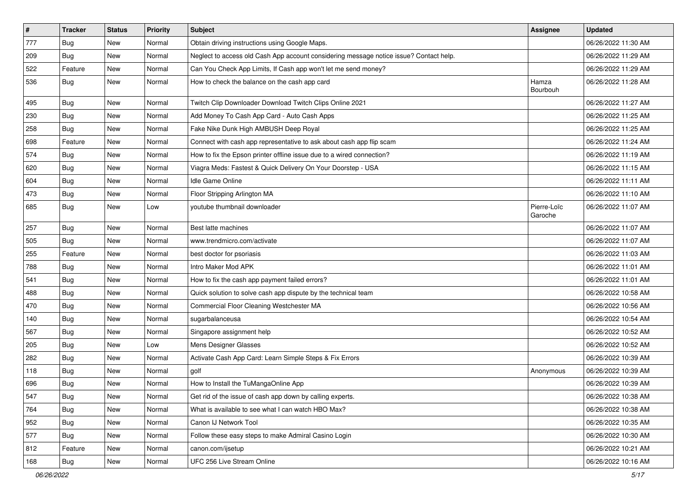| $\vert$ # | <b>Tracker</b> | <b>Status</b> | Priority | Subject                                                                                | <b>Assignee</b>        | Updated             |
|-----------|----------------|---------------|----------|----------------------------------------------------------------------------------------|------------------------|---------------------|
| 777       | <b>Bug</b>     | New           | Normal   | Obtain driving instructions using Google Maps.                                         |                        | 06/26/2022 11:30 AM |
| 209       | Bug            | New           | Normal   | Neglect to access old Cash App account considering message notice issue? Contact help. |                        | 06/26/2022 11:29 AM |
| 522       | Feature        | New           | Normal   | Can You Check App Limits, If Cash app won't let me send money?                         |                        | 06/26/2022 11:29 AM |
| 536       | <b>Bug</b>     | New           | Normal   | How to check the balance on the cash app card                                          | Hamza<br>Bourbouh      | 06/26/2022 11:28 AM |
| 495       | <b>Bug</b>     | New           | Normal   | Twitch Clip Downloader Download Twitch Clips Online 2021                               |                        | 06/26/2022 11:27 AM |
| 230       | Bug            | New           | Normal   | Add Money To Cash App Card - Auto Cash Apps                                            |                        | 06/26/2022 11:25 AM |
| 258       | Bug            | New           | Normal   | Fake Nike Dunk High AMBUSH Deep Royal                                                  |                        | 06/26/2022 11:25 AM |
| 698       | Feature        | New           | Normal   | Connect with cash app representative to ask about cash app flip scam                   |                        | 06/26/2022 11:24 AM |
| 574       | <b>Bug</b>     | New           | Normal   | How to fix the Epson printer offline issue due to a wired connection?                  |                        | 06/26/2022 11:19 AM |
| 620       | <b>Bug</b>     | New           | Normal   | Viagra Meds: Fastest & Quick Delivery On Your Doorstep - USA                           |                        | 06/26/2022 11:15 AM |
| 604       | <b>Bug</b>     | New           | Normal   | Idle Game Online                                                                       |                        | 06/26/2022 11:11 AM |
| 473       | Bug            | New           | Normal   | Floor Stripping Arlington MA                                                           |                        | 06/26/2022 11:10 AM |
| 685       | Bug            | New           | Low      | voutube thumbnail downloader                                                           | Pierre-Loïc<br>Garoche | 06/26/2022 11:07 AM |
| 257       | Bug            | New           | Normal   | Best latte machines                                                                    |                        | 06/26/2022 11:07 AM |
| 505       | <b>Bug</b>     | New           | Normal   | www.trendmicro.com/activate                                                            |                        | 06/26/2022 11:07 AM |
| 255       | Feature        | <b>New</b>    | Normal   | best doctor for psoriasis                                                              |                        | 06/26/2022 11:03 AM |
| 788       | Bug            | New           | Normal   | Intro Maker Mod APK                                                                    |                        | 06/26/2022 11:01 AM |
| 541       | Bug            | New           | Normal   | How to fix the cash app payment failed errors?                                         |                        | 06/26/2022 11:01 AM |
| 488       | Bug            | New           | Normal   | Quick solution to solve cash app dispute by the technical team                         |                        | 06/26/2022 10:58 AM |
| 470       | <b>Bug</b>     | New           | Normal   | Commercial Floor Cleaning Westchester MA                                               |                        | 06/26/2022 10:56 AM |
| 140       | Bug            | New           | Normal   | sugarbalanceusa                                                                        |                        | 06/26/2022 10:54 AM |
| 567       | Bug            | New           | Normal   | Singapore assignment help                                                              |                        | 06/26/2022 10:52 AM |
| 205       | <b>Bug</b>     | New           | Low      | Mens Designer Glasses                                                                  |                        | 06/26/2022 10:52 AM |
| 282       | <b>Bug</b>     | New           | Normal   | Activate Cash App Card: Learn Simple Steps & Fix Errors                                |                        | 06/26/2022 10:39 AM |
| 118       | <b>Bug</b>     | New           | Normal   | golf                                                                                   | Anonymous              | 06/26/2022 10:39 AM |
| 696       | <b>Bug</b>     | New           | Normal   | How to Install the TuMangaOnline App                                                   |                        | 06/26/2022 10:39 AM |
| 547       | Bug            | New           | Normal   | Get rid of the issue of cash app down by calling experts.                              |                        | 06/26/2022 10:38 AM |
| 764       | Bug            | New           | Normal   | What is available to see what I can watch HBO Max?                                     |                        | 06/26/2022 10:38 AM |
| 952       | <b>Bug</b>     | New           | Normal   | Canon IJ Network Tool                                                                  |                        | 06/26/2022 10:35 AM |
| 577       | <b>Bug</b>     | New           | Normal   | Follow these easy steps to make Admiral Casino Login                                   |                        | 06/26/2022 10:30 AM |
| 812       | Feature        | New           | Normal   | canon.com/ijsetup                                                                      |                        | 06/26/2022 10:21 AM |
| 168       | Bug            | New           | Normal   | UFC 256 Live Stream Online                                                             |                        | 06/26/2022 10:16 AM |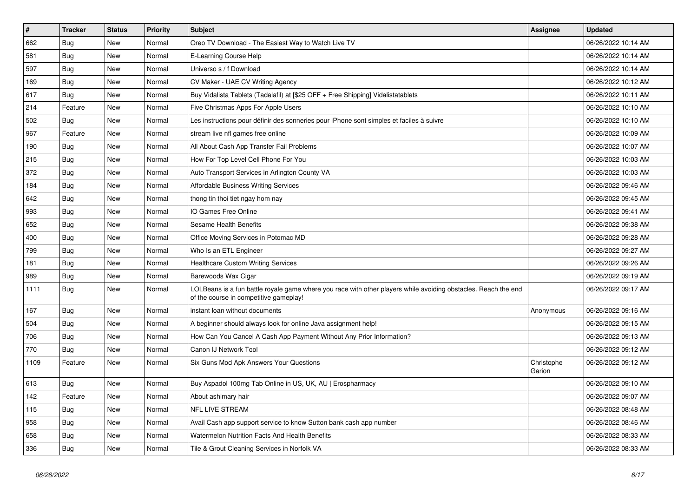| $\vert$ # | <b>Tracker</b> | <b>Status</b> | <b>Priority</b> | <b>Subject</b>                                                                                                                                           | <b>Assignee</b>      | <b>Updated</b>      |
|-----------|----------------|---------------|-----------------|----------------------------------------------------------------------------------------------------------------------------------------------------------|----------------------|---------------------|
| 662       | <b>Bug</b>     | New           | Normal          | Oreo TV Download - The Easiest Way to Watch Live TV                                                                                                      |                      | 06/26/2022 10:14 AM |
| 581       | <b>Bug</b>     | <b>New</b>    | Normal          | E-Learning Course Help                                                                                                                                   |                      | 06/26/2022 10:14 AM |
| 597       | <b>Bug</b>     | <b>New</b>    | Normal          | Universo s / f Download                                                                                                                                  |                      | 06/26/2022 10:14 AM |
| 169       | <b>Bug</b>     | New           | Normal          | CV Maker - UAE CV Writing Agency                                                                                                                         |                      | 06/26/2022 10:12 AM |
| 617       | Bug            | <b>New</b>    | Normal          | Buy Vidalista Tablets (Tadalafil) at [\$25 OFF + Free Shipping] Vidalistatablets                                                                         |                      | 06/26/2022 10:11 AM |
| 214       | Feature        | <b>New</b>    | Normal          | Five Christmas Apps For Apple Users                                                                                                                      |                      | 06/26/2022 10:10 AM |
| 502       | <b>Bug</b>     | New           | Normal          | Les instructions pour définir des sonneries pour iPhone sont simples et faciles à suivre                                                                 |                      | 06/26/2022 10:10 AM |
| 967       | Feature        | New           | Normal          | stream live nfl games free online                                                                                                                        |                      | 06/26/2022 10:09 AM |
| 190       | Bug            | New           | Normal          | All About Cash App Transfer Fail Problems                                                                                                                |                      | 06/26/2022 10:07 AM |
| 215       | Bug            | New           | Normal          | How For Top Level Cell Phone For You                                                                                                                     |                      | 06/26/2022 10:03 AM |
| 372       | Bug            | New           | Normal          | Auto Transport Services in Arlington County VA                                                                                                           |                      | 06/26/2022 10:03 AM |
| 184       | <b>Bug</b>     | New           | Normal          | <b>Affordable Business Writing Services</b>                                                                                                              |                      | 06/26/2022 09:46 AM |
| 642       | <b>Bug</b>     | New           | Normal          | thong tin thoi tiet ngay hom nay                                                                                                                         |                      | 06/26/2022 09:45 AM |
| 993       | <b>Bug</b>     | New           | Normal          | IO Games Free Online                                                                                                                                     |                      | 06/26/2022 09:41 AM |
| 652       | Bug            | New           | Normal          | Sesame Health Benefits                                                                                                                                   |                      | 06/26/2022 09:38 AM |
| 400       | Bug            | New           | Normal          | Office Moving Services in Potomac MD                                                                                                                     |                      | 06/26/2022 09:28 AM |
| 799       | <b>Bug</b>     | New           | Normal          | Who Is an ETL Engineer                                                                                                                                   |                      | 06/26/2022 09:27 AM |
| 181       | Bug            | New           | Normal          | <b>Healthcare Custom Writing Services</b>                                                                                                                |                      | 06/26/2022 09:26 AM |
| 989       | <b>Bug</b>     | New           | Normal          | Barewoods Wax Cigar                                                                                                                                      |                      | 06/26/2022 09:19 AM |
| 1111      | <b>Bug</b>     | New           | Normal          | LOLBeans is a fun battle royale game where you race with other players while avoiding obstacles. Reach the end<br>of the course in competitive gameplay! |                      | 06/26/2022 09:17 AM |
| 167       | <b>Bug</b>     | New           | Normal          | instant loan without documents                                                                                                                           | Anonymous            | 06/26/2022 09:16 AM |
| 504       | Bug            | New           | Normal          | A beginner should always look for online Java assignment help!                                                                                           |                      | 06/26/2022 09:15 AM |
| 706       | <b>Bug</b>     | New           | Normal          | How Can You Cancel A Cash App Payment Without Any Prior Information?                                                                                     |                      | 06/26/2022 09:13 AM |
| 770       | <b>Bug</b>     | <b>New</b>    | Normal          | Canon IJ Network Tool                                                                                                                                    |                      | 06/26/2022 09:12 AM |
| 1109      | Feature        | <b>New</b>    | Normal          | Six Guns Mod Apk Answers Your Questions                                                                                                                  | Christophe<br>Garion | 06/26/2022 09:12 AM |
| 613       | <b>Bug</b>     | New           | Normal          | Buy Aspadol 100mg Tab Online in US, UK, AU   Erospharmacy                                                                                                |                      | 06/26/2022 09:10 AM |
| 142       | Feature        | New           | Normal          | About ashimary hair                                                                                                                                      |                      | 06/26/2022 09:07 AM |
| 115       | <b>Bug</b>     | New           | Normal          | <b>NFL LIVE STREAM</b>                                                                                                                                   |                      | 06/26/2022 08:48 AM |
| 958       | Bug            | New           | Normal          | Avail Cash app support service to know Sutton bank cash app number                                                                                       |                      | 06/26/2022 08:46 AM |
| 658       | <b>Bug</b>     | New           | Normal          | <b>Watermelon Nutrition Facts And Health Benefits</b>                                                                                                    |                      | 06/26/2022 08:33 AM |
| 336       | <b>Bug</b>     | New           | Normal          | Tile & Grout Cleaning Services in Norfolk VA                                                                                                             |                      | 06/26/2022 08:33 AM |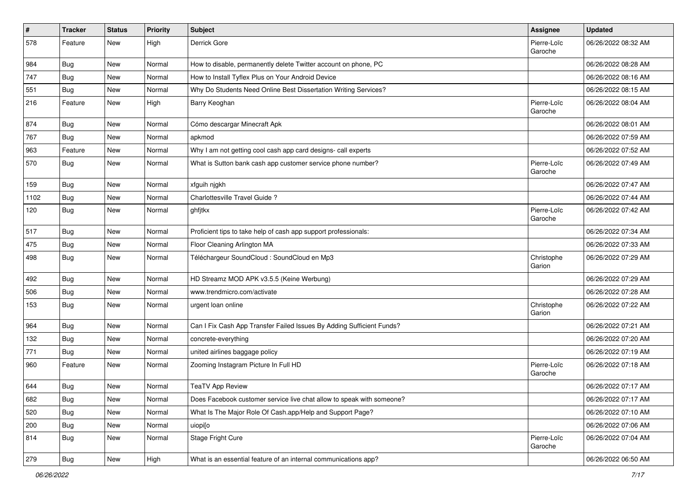| $\pmb{\#}$ | <b>Tracker</b> | <b>Status</b> | <b>Priority</b> | Subject                                                               | <b>Assignee</b>        | <b>Updated</b>      |
|------------|----------------|---------------|-----------------|-----------------------------------------------------------------------|------------------------|---------------------|
| 578        | Feature        | New           | High            | Derrick Gore                                                          | Pierre-Loïc<br>Garoche | 06/26/2022 08:32 AM |
| 984        | Bug            | New           | Normal          | How to disable, permanently delete Twitter account on phone, PC       |                        | 06/26/2022 08:28 AM |
| 747        | <b>Bug</b>     | New           | Normal          | How to Install Tyflex Plus on Your Android Device                     |                        | 06/26/2022 08:16 AM |
| 551        | Bug            | New           | Normal          | Why Do Students Need Online Best Dissertation Writing Services?       |                        | 06/26/2022 08:15 AM |
| 216        | Feature        | New           | High            | Barry Keoghan                                                         | Pierre-Loïc<br>Garoche | 06/26/2022 08:04 AM |
| 874        | Bug            | New           | Normal          | Cómo descargar Minecraft Apk                                          |                        | 06/26/2022 08:01 AM |
| 767        | <b>Bug</b>     | New           | Normal          | apkmod                                                                |                        | 06/26/2022 07:59 AM |
| 963        | Feature        | New           | Normal          | Why I am not getting cool cash app card designs- call experts         |                        | 06/26/2022 07:52 AM |
| 570        | Bug            | New           | Normal          | What is Sutton bank cash app customer service phone number?           | Pierre-Loïc<br>Garoche | 06/26/2022 07:49 AM |
| 159        | Bug            | New           | Normal          | xfguih njgkh                                                          |                        | 06/26/2022 07:47 AM |
| 1102       | <b>Bug</b>     | New           | Normal          | Charlottesville Travel Guide ?                                        |                        | 06/26/2022 07:44 AM |
| 120        | Bug            | New           | Normal          | ghfjtkx                                                               | Pierre-Loïc<br>Garoche | 06/26/2022 07:42 AM |
| 517        | <b>Bug</b>     | New           | Normal          | Proficient tips to take help of cash app support professionals:       |                        | 06/26/2022 07:34 AM |
| 475        | Bug            | New           | Normal          | Floor Cleaning Arlington MA                                           |                        | 06/26/2022 07:33 AM |
| 498        | Bug            | New           | Normal          | Téléchargeur SoundCloud : SoundCloud en Mp3                           | Christophe<br>Garion   | 06/26/2022 07:29 AM |
| 492        | Bug            | New           | Normal          | HD Streamz MOD APK v3.5.5 (Keine Werbung)                             |                        | 06/26/2022 07:29 AM |
| 506        | <b>Bug</b>     | New           | Normal          | www.trendmicro.com/activate                                           |                        | 06/26/2022 07:28 AM |
| 153        | <b>Bug</b>     | New           | Normal          | urgent loan online                                                    | Christophe<br>Garion   | 06/26/2022 07:22 AM |
| 964        | <b>Bug</b>     | New           | Normal          | Can I Fix Cash App Transfer Failed Issues By Adding Sufficient Funds? |                        | 06/26/2022 07:21 AM |
| 132        | <b>Bug</b>     | New           | Normal          | concrete-everything                                                   |                        | 06/26/2022 07:20 AM |
| 771        | Bug            | New           | Normal          | united airlines baggage policy                                        |                        | 06/26/2022 07:19 AM |
| 960        | Feature        | New           | Normal          | Zooming Instagram Picture In Full HD                                  | Pierre-Loïc<br>Garoche | 06/26/2022 07:18 AM |
| 644        | <b>Bug</b>     | New           | Normal          | <b>TeaTV App Review</b>                                               |                        | 06/26/2022 07:17 AM |
| 682        | <b>Bug</b>     | New           | Normal          | Does Facebook customer service live chat allow to speak with someone? |                        | 06/26/2022 07:17 AM |
| 520        | <b>Bug</b>     | New           | Normal          | What Is The Major Role Of Cash.app/Help and Support Page?             |                        | 06/26/2022 07:10 AM |
| 200        | Bug            | New           | Normal          | uiopi[o                                                               |                        | 06/26/2022 07:06 AM |
| 814        | <b>Bug</b>     | New           | Normal          | Stage Fright Cure                                                     | Pierre-Loïc<br>Garoche | 06/26/2022 07:04 AM |
| 279        | Bug            | New           | High            | What is an essential feature of an internal communications app?       |                        | 06/26/2022 06:50 AM |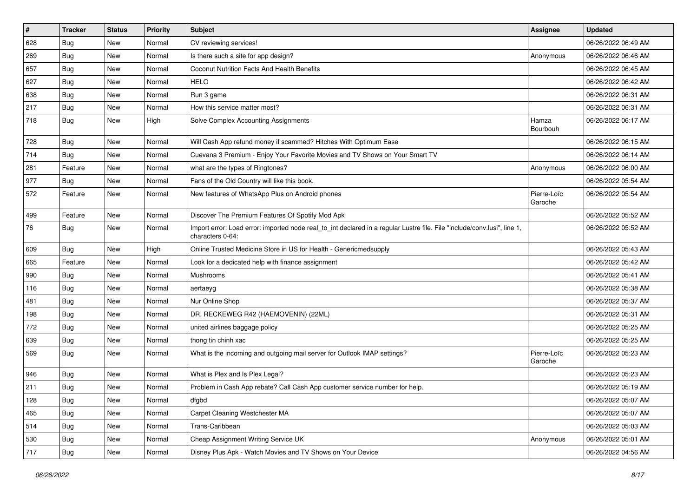| #   | <b>Tracker</b> | <b>Status</b> | <b>Priority</b> | <b>Subject</b>                                                                                                                               | <b>Assignee</b>        | <b>Updated</b>      |
|-----|----------------|---------------|-----------------|----------------------------------------------------------------------------------------------------------------------------------------------|------------------------|---------------------|
| 628 | Bug            | New           | Normal          | CV reviewing services!                                                                                                                       |                        | 06/26/2022 06:49 AM |
| 269 | Bug            | New           | Normal          | Is there such a site for app design?                                                                                                         | Anonymous              | 06/26/2022 06:46 AM |
| 657 | Bug            | New           | Normal          | Coconut Nutrition Facts And Health Benefits                                                                                                  |                        | 06/26/2022 06:45 AM |
| 627 | Bug            | New           | Normal          | <b>HELO</b>                                                                                                                                  |                        | 06/26/2022 06:42 AM |
| 638 | Bug            | New           | Normal          | Run 3 game                                                                                                                                   |                        | 06/26/2022 06:31 AM |
| 217 | <b>Bug</b>     | New           | Normal          | How this service matter most?                                                                                                                |                        | 06/26/2022 06:31 AM |
| 718 | <b>Bug</b>     | New           | High            | Solve Complex Accounting Assignments                                                                                                         | Hamza<br>Bourbouh      | 06/26/2022 06:17 AM |
| 728 | Bug            | New           | Normal          | Will Cash App refund money if scammed? Hitches With Optimum Ease                                                                             |                        | 06/26/2022 06:15 AM |
| 714 | Bug            | New           | Normal          | Cuevana 3 Premium - Enjoy Your Favorite Movies and TV Shows on Your Smart TV                                                                 |                        | 06/26/2022 06:14 AM |
| 281 | Feature        | New           | Normal          | what are the types of Ringtones?                                                                                                             | Anonymous              | 06/26/2022 06:00 AM |
| 977 | <b>Bug</b>     | New           | Normal          | Fans of the Old Country will like this book.                                                                                                 |                        | 06/26/2022 05:54 AM |
| 572 | Feature        | New           | Normal          | New features of WhatsApp Plus on Android phones                                                                                              | Pierre-Loïc<br>Garoche | 06/26/2022 05:54 AM |
| 499 | Feature        | New           | Normal          | Discover The Premium Features Of Spotify Mod Apk                                                                                             |                        | 06/26/2022 05:52 AM |
| 76  | Bug            | New           | Normal          | Import error: Load error: imported node real_to_int declared in a regular Lustre file. File "include/conv.lusi", line 1,<br>characters 0-64: |                        | 06/26/2022 05:52 AM |
| 609 | Bug            | New           | High            | Online Trusted Medicine Store in US for Health - Genericmedsupply                                                                            |                        | 06/26/2022 05:43 AM |
| 665 | Feature        | New           | Normal          | Look for a dedicated help with finance assignment                                                                                            |                        | 06/26/2022 05:42 AM |
| 990 | Bug            | New           | Normal          | Mushrooms                                                                                                                                    |                        | 06/26/2022 05:41 AM |
| 116 | Bug            | <b>New</b>    | Normal          | aertaeyg                                                                                                                                     |                        | 06/26/2022 05:38 AM |
| 481 | <b>Bug</b>     | New           | Normal          | Nur Online Shop                                                                                                                              |                        | 06/26/2022 05:37 AM |
| 198 | Bug            | New           | Normal          | DR. RECKEWEG R42 (HAEMOVENIN) (22ML)                                                                                                         |                        | 06/26/2022 05:31 AM |
| 772 | Bug            | New           | Normal          | united airlines baggage policy                                                                                                               |                        | 06/26/2022 05:25 AM |
| 639 | <b>Bug</b>     | New           | Normal          | thong tin chinh xac                                                                                                                          |                        | 06/26/2022 05:25 AM |
| 569 | Bug            | New           | Normal          | What is the incoming and outgoing mail server for Outlook IMAP settings?                                                                     | Pierre-Loïc<br>Garoche | 06/26/2022 05:23 AM |
| 946 | Bug            | New           | Normal          | What is Plex and Is Plex Legal?                                                                                                              |                        | 06/26/2022 05:23 AM |
| 211 | <b>Bug</b>     | New           | Normal          | Problem in Cash App rebate? Call Cash App customer service number for help.                                                                  |                        | 06/26/2022 05:19 AM |
| 128 | <b>Bug</b>     | New           | Normal          | dfgbd                                                                                                                                        |                        | 06/26/2022 05:07 AM |
| 465 | <b>Bug</b>     | New           | Normal          | Carpet Cleaning Westchester MA                                                                                                               |                        | 06/26/2022 05:07 AM |
| 514 | Bug            | New           | Normal          | Trans-Caribbean                                                                                                                              |                        | 06/26/2022 05:03 AM |
| 530 | <b>Bug</b>     | New           | Normal          | Cheap Assignment Writing Service UK                                                                                                          | Anonymous              | 06/26/2022 05:01 AM |
| 717 | <b>Bug</b>     | New           | Normal          | Disney Plus Apk - Watch Movies and TV Shows on Your Device                                                                                   |                        | 06/26/2022 04:56 AM |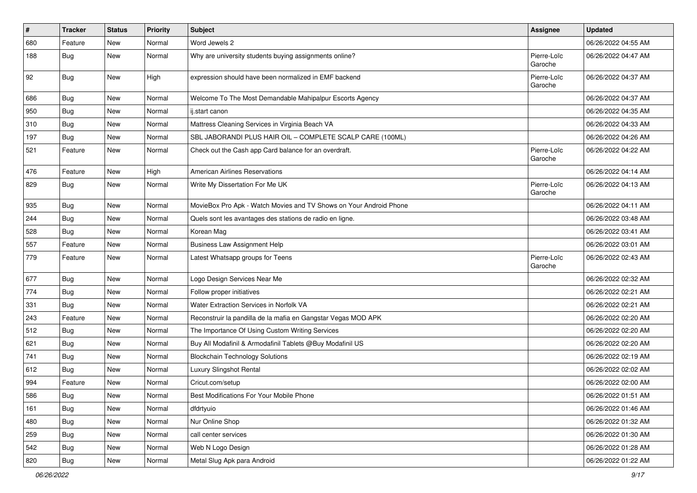| $\vert$ # | <b>Tracker</b> | <b>Status</b> | <b>Priority</b> | Subject                                                            | <b>Assignee</b>        | <b>Updated</b>      |
|-----------|----------------|---------------|-----------------|--------------------------------------------------------------------|------------------------|---------------------|
| 680       | Feature        | New           | Normal          | Word Jewels 2                                                      |                        | 06/26/2022 04:55 AM |
| 188       | Bug            | New           | Normal          | Why are university students buying assignments online?             | Pierre-Loïc<br>Garoche | 06/26/2022 04:47 AM |
| 92        | <b>Bug</b>     | New           | High            | expression should have been normalized in EMF backend              | Pierre-Loïc<br>Garoche | 06/26/2022 04:37 AM |
| 686       | Bug            | New           | Normal          | Welcome To The Most Demandable Mahipalpur Escorts Agency           |                        | 06/26/2022 04:37 AM |
| 950       | Bug            | New           | Normal          | ij.start canon                                                     |                        | 06/26/2022 04:35 AM |
| 310       | Bug            | New           | Normal          | Mattress Cleaning Services in Virginia Beach VA                    |                        | 06/26/2022 04:33 AM |
| 197       | Bug            | New           | Normal          | SBL JABORANDI PLUS HAIR OIL - COMPLETE SCALP CARE (100ML)          |                        | 06/26/2022 04:26 AM |
| 521       | Feature        | New           | Normal          | Check out the Cash app Card balance for an overdraft.              | Pierre-Loïc<br>Garoche | 06/26/2022 04:22 AM |
| 476       | Feature        | New           | High            | <b>American Airlines Reservations</b>                              |                        | 06/26/2022 04:14 AM |
| 829       | Bug            | New           | Normal          | Write My Dissertation For Me UK                                    | Pierre-Loïc<br>Garoche | 06/26/2022 04:13 AM |
| 935       | Bug            | New           | Normal          | MovieBox Pro Apk - Watch Movies and TV Shows on Your Android Phone |                        | 06/26/2022 04:11 AM |
| 244       | Bug            | New           | Normal          | Quels sont les avantages des stations de radio en ligne.           |                        | 06/26/2022 03:48 AM |
| 528       | Bug            | New           | Normal          | Korean Mag                                                         |                        | 06/26/2022 03:41 AM |
| 557       | Feature        | <b>New</b>    | Normal          | <b>Business Law Assignment Help</b>                                |                        | 06/26/2022 03:01 AM |
| 779       | Feature        | New           | Normal          | Latest Whatsapp groups for Teens                                   | Pierre-Loïc<br>Garoche | 06/26/2022 02:43 AM |
| 677       | Bug            | New           | Normal          | Logo Design Services Near Me                                       |                        | 06/26/2022 02:32 AM |
| 774       | Bug            | New           | Normal          | Follow proper initiatives                                          |                        | 06/26/2022 02:21 AM |
| 331       | <b>Bug</b>     | New           | Normal          | Water Extraction Services in Norfolk VA                            |                        | 06/26/2022 02:21 AM |
| 243       | Feature        | New           | Normal          | Reconstruir la pandilla de la mafia en Gangstar Vegas MOD APK      |                        | 06/26/2022 02:20 AM |
| 512       | <b>Bug</b>     | New           | Normal          | The Importance Of Using Custom Writing Services                    |                        | 06/26/2022 02:20 AM |
| 621       | Bug            | New           | Normal          | Buy All Modafinil & Armodafinil Tablets @Buy Modafinil US          |                        | 06/26/2022 02:20 AM |
| 741       | <b>Bug</b>     | New           | Normal          | <b>Blockchain Technology Solutions</b>                             |                        | 06/26/2022 02:19 AM |
| 612       | <b>Bug</b>     | New           | Normal          | Luxury Slingshot Rental                                            |                        | 06/26/2022 02:02 AM |
| 994       | Feature        | New           | Normal          | Cricut.com/setup                                                   |                        | 06/26/2022 02:00 AM |
| 586       | Bug            | New           | Normal          | Best Modifications For Your Mobile Phone                           |                        | 06/26/2022 01:51 AM |
| 161       | Bug            | New           | Normal          | dfdrtyuio                                                          |                        | 06/26/2022 01:46 AM |
| 480       | Bug            | New           | Normal          | Nur Online Shop                                                    |                        | 06/26/2022 01:32 AM |
| 259       | <b>Bug</b>     | New           | Normal          | call center services                                               |                        | 06/26/2022 01:30 AM |
| 542       | Bug            | New           | Normal          | Web N Logo Design                                                  |                        | 06/26/2022 01:28 AM |
| 820       | Bug            | New           | Normal          | Metal Slug Apk para Android                                        |                        | 06/26/2022 01:22 AM |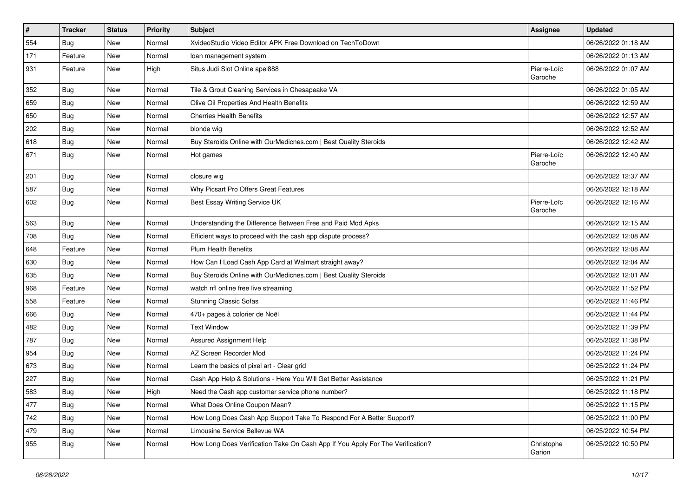| $\vert$ # | <b>Tracker</b> | <b>Status</b> | <b>Priority</b> | Subject                                                                        | <b>Assignee</b>        | <b>Updated</b>      |
|-----------|----------------|---------------|-----------------|--------------------------------------------------------------------------------|------------------------|---------------------|
| 554       | <b>Bug</b>     | New           | Normal          | XvideoStudio Video Editor APK Free Download on TechToDown                      |                        | 06/26/2022 01:18 AM |
| 171       | Feature        | New           | Normal          | loan management system                                                         |                        | 06/26/2022 01:13 AM |
| 931       | Feature        | New           | High            | Situs Judi Slot Online apel888                                                 | Pierre-Loïc<br>Garoche | 06/26/2022 01:07 AM |
| 352       | Bug            | New           | Normal          | Tile & Grout Cleaning Services in Chesapeake VA                                |                        | 06/26/2022 01:05 AM |
| 659       | <b>Bug</b>     | New           | Normal          | Olive Oil Properties And Health Benefits                                       |                        | 06/26/2022 12:59 AM |
| 650       | <b>Bug</b>     | New           | Normal          | <b>Cherries Health Benefits</b>                                                |                        | 06/26/2022 12:57 AM |
| 202       | <b>Bug</b>     | New           | Normal          | blonde wig                                                                     |                        | 06/26/2022 12:52 AM |
| 618       | <b>Bug</b>     | New           | Normal          | Buy Steroids Online with OurMedicnes.com   Best Quality Steroids               |                        | 06/26/2022 12:42 AM |
| 671       | Bug            | New           | Normal          | Hot games                                                                      | Pierre-Loïc<br>Garoche | 06/26/2022 12:40 AM |
| 201       | Bug            | New           | Normal          | closure wig                                                                    |                        | 06/26/2022 12:37 AM |
| 587       | Bug            | New           | Normal          | Why Picsart Pro Offers Great Features                                          |                        | 06/26/2022 12:18 AM |
| 602       | Bug            | New           | Normal          | Best Essay Writing Service UK                                                  | Pierre-Loïc<br>Garoche | 06/26/2022 12:16 AM |
| 563       | Bug            | New           | Normal          | Understanding the Difference Between Free and Paid Mod Apks                    |                        | 06/26/2022 12:15 AM |
| 708       | Bug            | New           | Normal          | Efficient ways to proceed with the cash app dispute process?                   |                        | 06/26/2022 12:08 AM |
| 648       | Feature        | New           | Normal          | <b>Plum Health Benefits</b>                                                    |                        | 06/26/2022 12:08 AM |
| 630       | <b>Bug</b>     | New           | Normal          | How Can I Load Cash App Card at Walmart straight away?                         |                        | 06/26/2022 12:04 AM |
| 635       | <b>Bug</b>     | New           | Normal          | Buy Steroids Online with OurMedicnes.com   Best Quality Steroids               |                        | 06/26/2022 12:01 AM |
| 968       | Feature        | New           | Normal          | watch nfl online free live streaming                                           |                        | 06/25/2022 11:52 PM |
| 558       | Feature        | New           | Normal          | <b>Stunning Classic Sofas</b>                                                  |                        | 06/25/2022 11:46 PM |
| 666       | <b>Bug</b>     | New           | Normal          | 470+ pages à colorier de Noël                                                  |                        | 06/25/2022 11:44 PM |
| 482       | Bug            | New           | Normal          | <b>Text Window</b>                                                             |                        | 06/25/2022 11:39 PM |
| 787       | <b>Bug</b>     | New           | Normal          | Assured Assignment Help                                                        |                        | 06/25/2022 11:38 PM |
| 954       | Bug            | New           | Normal          | AZ Screen Recorder Mod                                                         |                        | 06/25/2022 11:24 PM |
| 673       | Bug            | New           | Normal          | Learn the basics of pixel art - Clear grid                                     |                        | 06/25/2022 11:24 PM |
| 227       | <b>Bug</b>     | New           | Normal          | Cash App Help & Solutions - Here You Will Get Better Assistance                |                        | 06/25/2022 11:21 PM |
| 583       | Bug            | New           | High            | Need the Cash app customer service phone number?                               |                        | 06/25/2022 11:18 PM |
| 477       | Bug            | New           | Normal          | What Does Online Coupon Mean?                                                  |                        | 06/25/2022 11:15 PM |
| 742       | Bug            | New           | Normal          | How Long Does Cash App Support Take To Respond For A Better Support?           |                        | 06/25/2022 11:00 PM |
| 479       | <b>Bug</b>     | New           | Normal          | Limousine Service Bellevue WA                                                  |                        | 06/25/2022 10:54 PM |
| 955       | <b>Bug</b>     | New           | Normal          | How Long Does Verification Take On Cash App If You Apply For The Verification? | Christophe<br>Garion   | 06/25/2022 10:50 PM |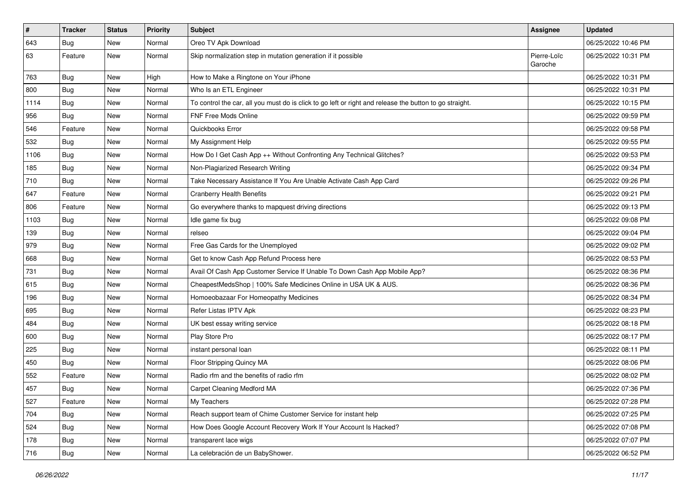| $\vert$ # | <b>Tracker</b> | <b>Status</b> | <b>Priority</b> | <b>Subject</b>                                                                                          | <b>Assignee</b>        | <b>Updated</b>      |
|-----------|----------------|---------------|-----------------|---------------------------------------------------------------------------------------------------------|------------------------|---------------------|
| 643       | <b>Bug</b>     | New           | Normal          | Oreo TV Apk Download                                                                                    |                        | 06/25/2022 10:46 PM |
| 63        | Feature        | New           | Normal          | Skip normalization step in mutation generation if it possible                                           | Pierre-Loïc<br>Garoche | 06/25/2022 10:31 PM |
| 763       | <b>Bug</b>     | New           | High            | How to Make a Ringtone on Your iPhone                                                                   |                        | 06/25/2022 10:31 PM |
| 800       | Bug            | New           | Normal          | Who Is an ETL Engineer                                                                                  |                        | 06/25/2022 10:31 PM |
| 1114      | Bug            | New           | Normal          | To control the car, all you must do is click to go left or right and release the button to go straight. |                        | 06/25/2022 10:15 PM |
| 956       | <b>Bug</b>     | New           | Normal          | <b>FNF Free Mods Online</b>                                                                             |                        | 06/25/2022 09:59 PM |
| 546       | Feature        | New           | Normal          | Quickbooks Error                                                                                        |                        | 06/25/2022 09:58 PM |
| 532       | <b>Bug</b>     | New           | Normal          | My Assignment Help                                                                                      |                        | 06/25/2022 09:55 PM |
| 1106      | Bug            | New           | Normal          | How Do I Get Cash App ++ Without Confronting Any Technical Glitches?                                    |                        | 06/25/2022 09:53 PM |
| 185       | <b>Bug</b>     | New           | Normal          | Non-Plagiarized Research Writing                                                                        |                        | 06/25/2022 09:34 PM |
| 710       | <b>Bug</b>     | New           | Normal          | Take Necessary Assistance If You Are Unable Activate Cash App Card                                      |                        | 06/25/2022 09:26 PM |
| 647       | Feature        | <b>New</b>    | Normal          | <b>Cranberry Health Benefits</b>                                                                        |                        | 06/25/2022 09:21 PM |
| 806       | Feature        | New           | Normal          | Go everywhere thanks to mapquest driving directions                                                     |                        | 06/25/2022 09:13 PM |
| 1103      | <b>Bug</b>     | New           | Normal          | Idle game fix bug                                                                                       |                        | 06/25/2022 09:08 PM |
| 139       | <b>Bug</b>     | New           | Normal          | relseo                                                                                                  |                        | 06/25/2022 09:04 PM |
| 979       | <b>Bug</b>     | New           | Normal          | Free Gas Cards for the Unemployed                                                                       |                        | 06/25/2022 09:02 PM |
| 668       | Bug            | New           | Normal          | Get to know Cash App Refund Process here                                                                |                        | 06/25/2022 08:53 PM |
| 731       | <b>Bug</b>     | New           | Normal          | Avail Of Cash App Customer Service If Unable To Down Cash App Mobile App?                               |                        | 06/25/2022 08:36 PM |
| 615       | <b>Bug</b>     | New           | Normal          | CheapestMedsShop   100% Safe Medicines Online in USA UK & AUS.                                          |                        | 06/25/2022 08:36 PM |
| 196       | <b>Bug</b>     | New           | Normal          | Homoeobazaar For Homeopathy Medicines                                                                   |                        | 06/25/2022 08:34 PM |
| 695       | <b>Bug</b>     | New           | Normal          | Refer Listas IPTV Apk                                                                                   |                        | 06/25/2022 08:23 PM |
| 484       | Bug            | New           | Normal          | UK best essay writing service                                                                           |                        | 06/25/2022 08:18 PM |
| 600       | <b>Bug</b>     | New           | Normal          | Play Store Pro                                                                                          |                        | 06/25/2022 08:17 PM |
| 225       | Bug            | New           | Normal          | instant personal loan                                                                                   |                        | 06/25/2022 08:11 PM |
| 450       | Bug            | New           | Normal          | Floor Stripping Quincy MA                                                                               |                        | 06/25/2022 08:06 PM |
| 552       | Feature        | New           | Normal          | Radio rfm and the benefits of radio rfm                                                                 |                        | 06/25/2022 08:02 PM |
| 457       | <b>Bug</b>     | New           | Normal          | Carpet Cleaning Medford MA                                                                              |                        | 06/25/2022 07:36 PM |
| 527       | Feature        | New           | Normal          | My Teachers                                                                                             |                        | 06/25/2022 07:28 PM |
| 704       | Bug            | New           | Normal          | Reach support team of Chime Customer Service for instant help                                           |                        | 06/25/2022 07:25 PM |
| 524       | <b>Bug</b>     | New           | Normal          | How Does Google Account Recovery Work If Your Account Is Hacked?                                        |                        | 06/25/2022 07:08 PM |
| 178       | <b>Bug</b>     | New           | Normal          | transparent lace wigs                                                                                   |                        | 06/25/2022 07:07 PM |
| 716       | <b>Bug</b>     | New           | Normal          | La celebración de un BabyShower.                                                                        |                        | 06/25/2022 06:52 PM |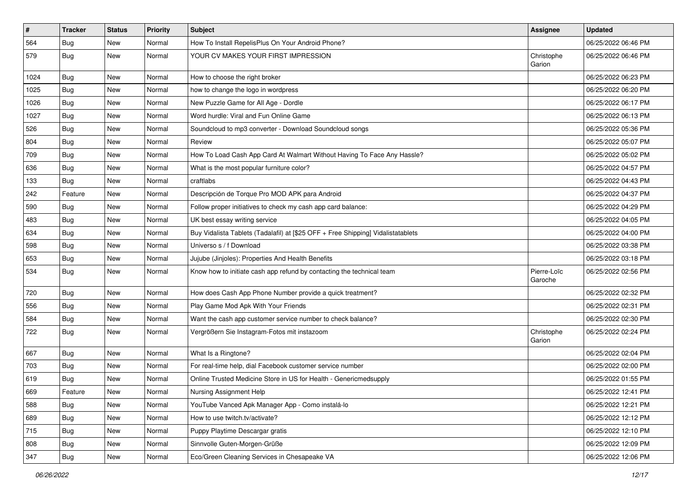| $\vert$ # | <b>Tracker</b> | <b>Status</b> | <b>Priority</b> | Subject                                                                          | <b>Assignee</b>        | <b>Updated</b>      |
|-----------|----------------|---------------|-----------------|----------------------------------------------------------------------------------|------------------------|---------------------|
| 564       | Bug            | New           | Normal          | How To Install RepelisPlus On Your Android Phone?                                |                        | 06/25/2022 06:46 PM |
| 579       | Bug            | New           | Normal          | YOUR CV MAKES YOUR FIRST IMPRESSION                                              | Christophe<br>Garion   | 06/25/2022 06:46 PM |
| 1024      | <b>Bug</b>     | New           | Normal          | How to choose the right broker                                                   |                        | 06/25/2022 06:23 PM |
| 1025      | Bug            | New           | Normal          | how to change the logo in wordpress                                              |                        | 06/25/2022 06:20 PM |
| 1026      | <b>Bug</b>     | New           | Normal          | New Puzzle Game for All Age - Dordle                                             |                        | 06/25/2022 06:17 PM |
| 1027      | <b>Bug</b>     | New           | Normal          | Word hurdle: Viral and Fun Online Game                                           |                        | 06/25/2022 06:13 PM |
| 526       | <b>Bug</b>     | New           | Normal          | Soundcloud to mp3 converter - Download Soundcloud songs                          |                        | 06/25/2022 05:36 PM |
| 804       | <b>Bug</b>     | New           | Normal          | Review                                                                           |                        | 06/25/2022 05:07 PM |
| 709       | <b>Bug</b>     | New           | Normal          | How To Load Cash App Card At Walmart Without Having To Face Any Hassle?          |                        | 06/25/2022 05:02 PM |
| 636       | <b>Bug</b>     | New           | Normal          | What is the most popular furniture color?                                        |                        | 06/25/2022 04:57 PM |
| 133       | <b>Bug</b>     | New           | Normal          | craftlabs                                                                        |                        | 06/25/2022 04:43 PM |
| 242       | Feature        | New           | Normal          | Descripción de Torque Pro MOD APK para Android                                   |                        | 06/25/2022 04:37 PM |
| 590       | Bug            | New           | Normal          | Follow proper initiatives to check my cash app card balance:                     |                        | 06/25/2022 04:29 PM |
| 483       | Bug            | New           | Normal          | UK best essay writing service                                                    |                        | 06/25/2022 04:05 PM |
| 634       | <b>Bug</b>     | New           | Normal          | Buy Vidalista Tablets (Tadalafil) at [\$25 OFF + Free Shipping] Vidalistatablets |                        | 06/25/2022 04:00 PM |
| 598       | <b>Bug</b>     | New           | Normal          | Universo s / f Download                                                          |                        | 06/25/2022 03:38 PM |
| 653       | Bug            | New           | Normal          | Jujube (Jinjoles): Properties And Health Benefits                                |                        | 06/25/2022 03:18 PM |
| 534       | <b>Bug</b>     | New           | Normal          | Know how to initiate cash app refund by contacting the technical team            | Pierre-Loïc<br>Garoche | 06/25/2022 02:56 PM |
| 720       | <b>Bug</b>     | <b>New</b>    | Normal          | How does Cash App Phone Number provide a quick treatment?                        |                        | 06/25/2022 02:32 PM |
| 556       | <b>Bug</b>     | New           | Normal          | Play Game Mod Apk With Your Friends                                              |                        | 06/25/2022 02:31 PM |
| 584       | Bug            | New           | Normal          | Want the cash app customer service number to check balance?                      |                        | 06/25/2022 02:30 PM |
| 722       | <b>Bug</b>     | New           | Normal          | Vergrößern Sie Instagram-Fotos mit instazoom                                     | Christophe<br>Garion   | 06/25/2022 02:24 PM |
| 667       | <b>Bug</b>     | New           | Normal          | What Is a Ringtone?                                                              |                        | 06/25/2022 02:04 PM |
| 703       | <b>Bug</b>     | New           | Normal          | For real-time help, dial Facebook customer service number                        |                        | 06/25/2022 02:00 PM |
| 619       | <b>Bug</b>     | New           | Normal          | Online Trusted Medicine Store in US for Health - Genericmedsupply                |                        | 06/25/2022 01:55 PM |
| 669       | Feature        | New           | Normal          | Nursing Assignment Help                                                          |                        | 06/25/2022 12:41 PM |
| 588       | <b>Bug</b>     | New           | Normal          | YouTube Vanced Apk Manager App - Como instalá-lo                                 |                        | 06/25/2022 12:21 PM |
| 689       | Bug            | New           | Normal          | How to use twitch.tv/activate?                                                   |                        | 06/25/2022 12:12 PM |
| 715       | <b>Bug</b>     | New           | Normal          | Puppy Playtime Descargar gratis                                                  |                        | 06/25/2022 12:10 PM |
| 808       | Bug            | New           | Normal          | Sinnvolle Guten-Morgen-Grüße                                                     |                        | 06/25/2022 12:09 PM |
| 347       | <b>Bug</b>     | New           | Normal          | Eco/Green Cleaning Services in Chesapeake VA                                     |                        | 06/25/2022 12:06 PM |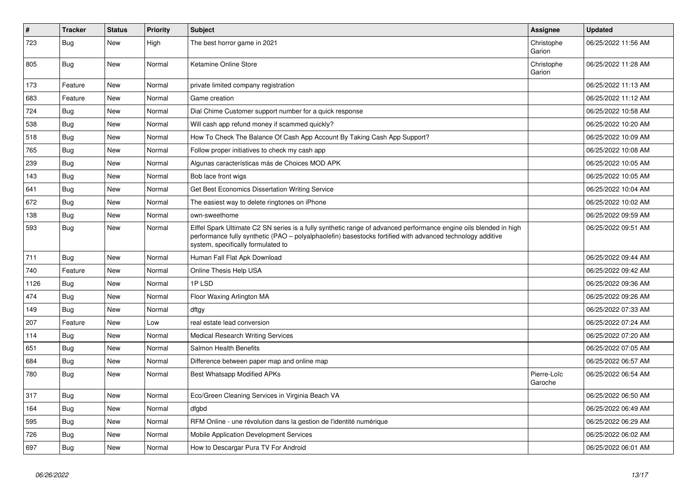| $\vert$ # | <b>Tracker</b> | <b>Status</b> | Priority | <b>Subject</b>                                                                                                                                                                                                                                                        | <b>Assignee</b>        | <b>Updated</b>      |
|-----------|----------------|---------------|----------|-----------------------------------------------------------------------------------------------------------------------------------------------------------------------------------------------------------------------------------------------------------------------|------------------------|---------------------|
| 723       | <b>Bug</b>     | <b>New</b>    | High     | The best horror game in 2021                                                                                                                                                                                                                                          | Christophe<br>Garion   | 06/25/2022 11:56 AM |
| 805       | Bug            | New           | Normal   | Ketamine Online Store                                                                                                                                                                                                                                                 | Christophe<br>Garion   | 06/25/2022 11:28 AM |
| 173       | Feature        | <b>New</b>    | Normal   | private limited company registration                                                                                                                                                                                                                                  |                        | 06/25/2022 11:13 AM |
| 683       | Feature        | <b>New</b>    | Normal   | Game creation                                                                                                                                                                                                                                                         |                        | 06/25/2022 11:12 AM |
| 724       | Bug            | <b>New</b>    | Normal   | Dial Chime Customer support number for a quick response                                                                                                                                                                                                               |                        | 06/25/2022 10:58 AM |
| 538       | Bug            | New           | Normal   | Will cash app refund money if scammed quickly?                                                                                                                                                                                                                        |                        | 06/25/2022 10:20 AM |
| 518       | <b>Bug</b>     | <b>New</b>    | Normal   | How To Check The Balance Of Cash App Account By Taking Cash App Support?                                                                                                                                                                                              |                        | 06/25/2022 10:09 AM |
| 765       | Bug            | <b>New</b>    | Normal   | Follow proper initiatives to check my cash app                                                                                                                                                                                                                        |                        | 06/25/2022 10:08 AM |
| 239       | <b>Bug</b>     | New           | Normal   | Algunas características más de Choices MOD APK                                                                                                                                                                                                                        |                        | 06/25/2022 10:05 AM |
| 143       | <b>Bug</b>     | New           | Normal   | Bob lace front wigs                                                                                                                                                                                                                                                   |                        | 06/25/2022 10:05 AM |
| 641       | <b>Bug</b>     | <b>New</b>    | Normal   | Get Best Economics Dissertation Writing Service                                                                                                                                                                                                                       |                        | 06/25/2022 10:04 AM |
| 672       | <b>Bug</b>     | <b>New</b>    | Normal   | The easiest way to delete ringtones on iPhone                                                                                                                                                                                                                         |                        | 06/25/2022 10:02 AM |
| 138       | <b>Bug</b>     | New           | Normal   | own-sweethome                                                                                                                                                                                                                                                         |                        | 06/25/2022 09:59 AM |
| 593       | Bug            | New           | Normal   | Eiffel Spark Ultimate C2 SN series is a fully synthetic range of advanced performance engine oils blended in high<br>performance fully synthetic (PAO - polyalphaolefin) basestocks fortified with advanced technology additive<br>system, specifically formulated to |                        | 06/25/2022 09:51 AM |
| 711       | Bug            | <b>New</b>    | Normal   | Human Fall Flat Apk Download                                                                                                                                                                                                                                          |                        | 06/25/2022 09:44 AM |
| 740       | Feature        | <b>New</b>    | Normal   | Online Thesis Help USA                                                                                                                                                                                                                                                |                        | 06/25/2022 09:42 AM |
| 1126      | <b>Bug</b>     | <b>New</b>    | Normal   | 1PLSD                                                                                                                                                                                                                                                                 |                        | 06/25/2022 09:36 AM |
| 474       | <b>Bug</b>     | <b>New</b>    | Normal   | Floor Waxing Arlington MA                                                                                                                                                                                                                                             |                        | 06/25/2022 09:26 AM |
| 149       | <b>Bug</b>     | <b>New</b>    | Normal   | dftgy                                                                                                                                                                                                                                                                 |                        | 06/25/2022 07:33 AM |
| 207       | Feature        | <b>New</b>    | Low      | real estate lead conversion                                                                                                                                                                                                                                           |                        | 06/25/2022 07:24 AM |
| 114       | <b>Bug</b>     | <b>New</b>    | Normal   | <b>Medical Research Writing Services</b>                                                                                                                                                                                                                              |                        | 06/25/2022 07:20 AM |
| 651       | Bug            | <b>New</b>    | Normal   | <b>Salmon Health Benefits</b>                                                                                                                                                                                                                                         |                        | 06/25/2022 07:05 AM |
| 684       | <b>Bug</b>     | <b>New</b>    | Normal   | Difference between paper map and online map                                                                                                                                                                                                                           |                        | 06/25/2022 06:57 AM |
| 780       | <b>Bug</b>     | <b>New</b>    | Normal   | <b>Best Whatsapp Modified APKs</b>                                                                                                                                                                                                                                    | Pierre-Loïc<br>Garoche | 06/25/2022 06:54 AM |
| 317       | <b>Bug</b>     | <b>New</b>    | Normal   | Eco/Green Cleaning Services in Virginia Beach VA                                                                                                                                                                                                                      |                        | 06/25/2022 06:50 AM |
| 164       | Bug            | <b>New</b>    | Normal   | dfgbd                                                                                                                                                                                                                                                                 |                        | 06/25/2022 06:49 AM |
| 595       | Bug            | <b>New</b>    | Normal   | RFM Online - une révolution dans la gestion de l'identité numérique                                                                                                                                                                                                   |                        | 06/25/2022 06:29 AM |
| 726       | <b>Bug</b>     | <b>New</b>    | Normal   | Mobile Application Development Services                                                                                                                                                                                                                               |                        | 06/25/2022 06:02 AM |
| 697       | <b>Bug</b>     | <b>New</b>    | Normal   | How to Descargar Pura TV For Android                                                                                                                                                                                                                                  |                        | 06/25/2022 06:01 AM |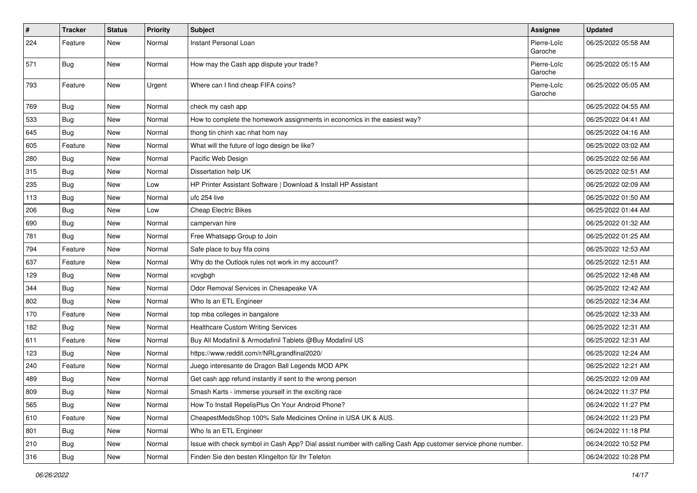| $\pmb{\#}$ | <b>Tracker</b> | <b>Status</b> | <b>Priority</b> | Subject                                                                                                      | Assignee               | <b>Updated</b>      |
|------------|----------------|---------------|-----------------|--------------------------------------------------------------------------------------------------------------|------------------------|---------------------|
| 224        | Feature        | New           | Normal          | Instant Personal Loan                                                                                        | Pierre-Loïc<br>Garoche | 06/25/2022 05:58 AM |
| 571        | <b>Bug</b>     | New           | Normal          | How may the Cash app dispute your trade?                                                                     | Pierre-Loïc<br>Garoche | 06/25/2022 05:15 AM |
| 793        | Feature        | New           | Urgent          | Where can I find cheap FIFA coins?                                                                           | Pierre-Loïc<br>Garoche | 06/25/2022 05:05 AM |
| 769        | Bug            | New           | Normal          | check my cash app                                                                                            |                        | 06/25/2022 04:55 AM |
| 533        | Bug            | New           | Normal          | How to complete the homework assignments in economics in the easiest way?                                    |                        | 06/25/2022 04:41 AM |
| 645        | Bug            | New           | Normal          | thong tin chinh xac nhat hom nay                                                                             |                        | 06/25/2022 04:16 AM |
| 605        | Feature        | New           | Normal          | What will the future of logo design be like?                                                                 |                        | 06/25/2022 03:02 AM |
| 280        | <b>Bug</b>     | New           | Normal          | Pacific Web Design                                                                                           |                        | 06/25/2022 02:56 AM |
| 315        | Bug            | New           | Normal          | Dissertation help UK                                                                                         |                        | 06/25/2022 02:51 AM |
| 235        | Bug            | <b>New</b>    | Low             | HP Printer Assistant Software   Download & Install HP Assistant                                              |                        | 06/25/2022 02:09 AM |
| 113        | <b>Bug</b>     | New           | Normal          | ufc 254 live                                                                                                 |                        | 06/25/2022 01:50 AM |
| 206        | Bug            | New           | Low             | <b>Cheap Electric Bikes</b>                                                                                  |                        | 06/25/2022 01:44 AM |
| 690        | <b>Bug</b>     | New           | Normal          | campervan hire                                                                                               |                        | 06/25/2022 01:32 AM |
| 781        | <b>Bug</b>     | New           | Normal          | Free Whatsapp Group to Join                                                                                  |                        | 06/25/2022 01:25 AM |
| 794        | Feature        | New           | Normal          | Safe place to buy fifa coins                                                                                 |                        | 06/25/2022 12:53 AM |
| 637        | Feature        | New           | Normal          | Why do the Outlook rules not work in my account?                                                             |                        | 06/25/2022 12:51 AM |
| 129        | Bug            | New           | Normal          | xcvgbgh                                                                                                      |                        | 06/25/2022 12:48 AM |
| 344        | Bug            | New           | Normal          | Odor Removal Services in Chesapeake VA                                                                       |                        | 06/25/2022 12:42 AM |
| 802        | Bug            | New           | Normal          | Who Is an ETL Engineer                                                                                       |                        | 06/25/2022 12:34 AM |
| 170        | Feature        | New           | Normal          | top mba colleges in bangalore                                                                                |                        | 06/25/2022 12:33 AM |
| 182        | <b>Bug</b>     | New           | Normal          | <b>Healthcare Custom Writing Services</b>                                                                    |                        | 06/25/2022 12:31 AM |
| 611        | Feature        | New           | Normal          | Buy All Modafinil & Armodafinil Tablets @Buy Modafinil US                                                    |                        | 06/25/2022 12:31 AM |
| 123        | <b>Bug</b>     | New           | Normal          | https://www.reddit.com/r/NRLgrandfinal2020/                                                                  |                        | 06/25/2022 12:24 AM |
| 240        | Feature        | New           | Normal          | Juego interesante de Dragon Ball Legends MOD APK                                                             |                        | 06/25/2022 12:21 AM |
| 489        | <b>Bug</b>     | New           | Normal          | Get cash app refund instantly if sent to the wrong person                                                    |                        | 06/25/2022 12:09 AM |
| 809        | <b>Bug</b>     | New           | Normal          | Smash Karts - immerse yourself in the exciting race                                                          |                        | 06/24/2022 11:37 PM |
| 565        | <b>Bug</b>     | New           | Normal          | How To Install RepelisPlus On Your Android Phone?                                                            |                        | 06/24/2022 11:27 PM |
| 610        | Feature        | New           | Normal          | CheapestMedsShop 100% Safe Medicines Online in USA UK & AUS.                                                 |                        | 06/24/2022 11:23 PM |
| 801        | Bug            | New           | Normal          | Who Is an ETL Engineer                                                                                       |                        | 06/24/2022 11:18 PM |
| 210        | <b>Bug</b>     | New           | Normal          | Issue with check symbol in Cash App? Dial assist number with calling Cash App customer service phone number. |                        | 06/24/2022 10:52 PM |
| 316        | Bug            | New           | Normal          | Finden Sie den besten Klingelton für Ihr Telefon                                                             |                        | 06/24/2022 10:28 PM |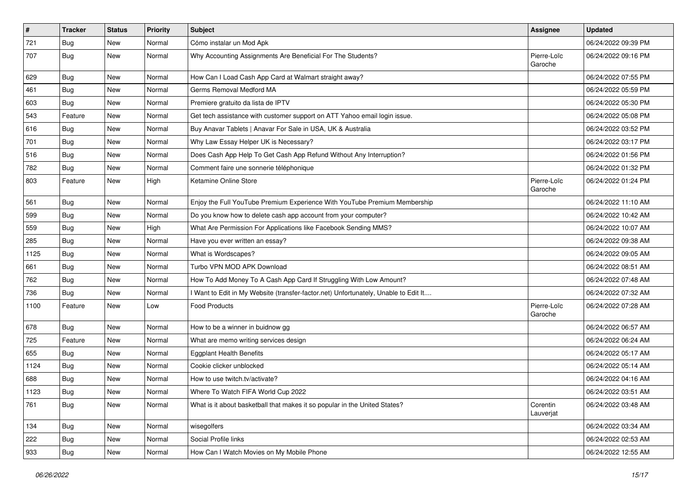| $\vert$ # | <b>Tracker</b> | <b>Status</b> | <b>Priority</b> | <b>Subject</b>                                                                      | <b>Assignee</b>        | <b>Updated</b>      |
|-----------|----------------|---------------|-----------------|-------------------------------------------------------------------------------------|------------------------|---------------------|
| 721       | <b>Bug</b>     | New           | Normal          | Cómo instalar un Mod Apk                                                            |                        | 06/24/2022 09:39 PM |
| 707       | Bug            | New           | Normal          | Why Accounting Assignments Are Beneficial For The Students?                         | Pierre-Loïc<br>Garoche | 06/24/2022 09:16 PM |
| 629       | <b>Bug</b>     | New           | Normal          | How Can I Load Cash App Card at Walmart straight away?                              |                        | 06/24/2022 07:55 PM |
| 461       | Bug            | New           | Normal          | Germs Removal Medford MA                                                            |                        | 06/24/2022 05:59 PM |
| 603       | <b>Bug</b>     | New           | Normal          | Premiere gratuito da lista de IPTV                                                  |                        | 06/24/2022 05:30 PM |
| 543       | Feature        | New           | Normal          | Get tech assistance with customer support on ATT Yahoo email login issue.           |                        | 06/24/2022 05:08 PM |
| 616       | Bug            | New           | Normal          | Buy Anavar Tablets   Anavar For Sale in USA, UK & Australia                         |                        | 06/24/2022 03:52 PM |
| 701       | <b>Bug</b>     | New           | Normal          | Why Law Essay Helper UK is Necessary?                                               |                        | 06/24/2022 03:17 PM |
| 516       | <b>Bug</b>     | New           | Normal          | Does Cash App Help To Get Cash App Refund Without Any Interruption?                 |                        | 06/24/2022 01:56 PM |
| 782       | <b>Bug</b>     | New           | Normal          | Comment faire une sonnerie téléphonique                                             |                        | 06/24/2022 01:32 PM |
| 803       | Feature        | New           | High            | Ketamine Online Store                                                               | Pierre-Loïc<br>Garoche | 06/24/2022 01:24 PM |
| 561       | <b>Bug</b>     | New           | Normal          | Enjoy the Full YouTube Premium Experience With YouTube Premium Membership           |                        | 06/24/2022 11:10 AM |
| 599       | <b>Bug</b>     | New           | Normal          | Do you know how to delete cash app account from your computer?                      |                        | 06/24/2022 10:42 AM |
| 559       | Bug            | New           | High            | What Are Permission For Applications like Facebook Sending MMS?                     |                        | 06/24/2022 10:07 AM |
| 285       | <b>Bug</b>     | New           | Normal          | Have you ever written an essay?                                                     |                        | 06/24/2022 09:38 AM |
| 1125      | Bug            | New           | Normal          | What is Wordscapes?                                                                 |                        | 06/24/2022 09:05 AM |
| 661       | Bug            | New           | Normal          | Turbo VPN MOD APK Download                                                          |                        | 06/24/2022 08:51 AM |
| 762       | Bug            | New           | Normal          | How To Add Money To A Cash App Card If Struggling With Low Amount?                  |                        | 06/24/2022 07:48 AM |
| 736       | Bug            | <b>New</b>    | Normal          | I Want to Edit in My Website (transfer-factor.net) Unfortunately, Unable to Edit It |                        | 06/24/2022 07:32 AM |
| 1100      | Feature        | New           | Low             | <b>Food Products</b>                                                                | Pierre-Loïc<br>Garoche | 06/24/2022 07:28 AM |
| 678       | <b>Bug</b>     | New           | Normal          | How to be a winner in buidnow gg                                                    |                        | 06/24/2022 06:57 AM |
| 725       | Feature        | New           | Normal          | What are memo writing services design                                               |                        | 06/24/2022 06:24 AM |
| 655       | Bug            | New           | Normal          | <b>Eggplant Health Benefits</b>                                                     |                        | 06/24/2022 05:17 AM |
| 1124      | <b>Bug</b>     | New           | Normal          | Cookie clicker unblocked                                                            |                        | 06/24/2022 05:14 AM |
| 688       | <b>Bug</b>     | New           | Normal          | How to use twitch.tv/activate?                                                      |                        | 06/24/2022 04:16 AM |
| 1123      | Bug            | New           | Normal          | Where To Watch FIFA World Cup 2022                                                  |                        | 06/24/2022 03:51 AM |
| 761       | Bug            | New           | Normal          | What is it about basketball that makes it so popular in the United States?          | Corentin<br>Lauverjat  | 06/24/2022 03:48 AM |
| 134       | <b>Bug</b>     | New           | Normal          | wisegolfers                                                                         |                        | 06/24/2022 03:34 AM |
| 222       | <b>Bug</b>     | New           | Normal          | Social Profile links                                                                |                        | 06/24/2022 02:53 AM |
| 933       | Bug            | New           | Normal          | How Can I Watch Movies on My Mobile Phone                                           |                        | 06/24/2022 12:55 AM |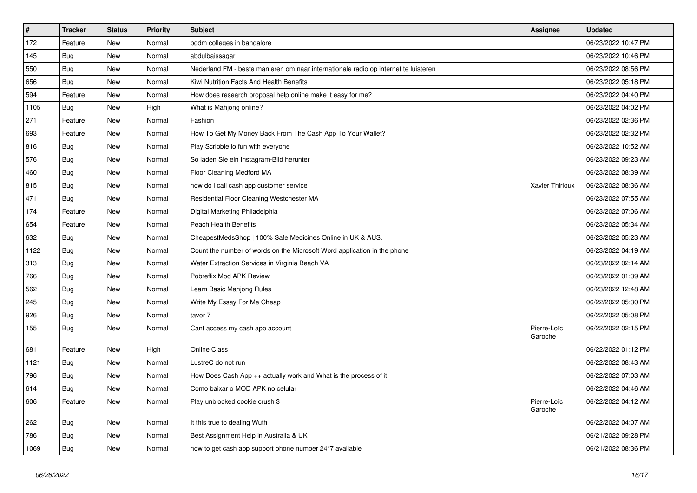| $\vert$ # | <b>Tracker</b> | <b>Status</b> | <b>Priority</b> | <b>Subject</b>                                                                      | Assignee               | <b>Updated</b>      |
|-----------|----------------|---------------|-----------------|-------------------------------------------------------------------------------------|------------------------|---------------------|
| 172       | Feature        | <b>New</b>    | Normal          | pgdm colleges in bangalore                                                          |                        | 06/23/2022 10:47 PM |
| 145       | <b>Bug</b>     | <b>New</b>    | Normal          | abdulbaissagar                                                                      |                        | 06/23/2022 10:46 PM |
| 550       | <b>Bug</b>     | <b>New</b>    | Normal          | Nederland FM - beste manieren om naar internationale radio op internet te luisteren |                        | 06/23/2022 08:56 PM |
| 656       | Bug            | New           | Normal          | Kiwi Nutrition Facts And Health Benefits                                            |                        | 06/23/2022 05:18 PM |
| 594       | Feature        | <b>New</b>    | Normal          | How does research proposal help online make it easy for me?                         |                        | 06/23/2022 04:40 PM |
| 1105      | <b>Bug</b>     | New           | High            | What is Mahjong online?                                                             |                        | 06/23/2022 04:02 PM |
| 271       | Feature        | New           | Normal          | Fashion                                                                             |                        | 06/23/2022 02:36 PM |
| 693       | Feature        | <b>New</b>    | Normal          | How To Get My Money Back From The Cash App To Your Wallet?                          |                        | 06/23/2022 02:32 PM |
| 816       | <b>Bug</b>     | <b>New</b>    | Normal          | Play Scribble io fun with everyone                                                  |                        | 06/23/2022 10:52 AM |
| 576       | <b>Bug</b>     | <b>New</b>    | Normal          | So laden Sie ein Instagram-Bild herunter                                            |                        | 06/23/2022 09:23 AM |
| 460       | <b>Bug</b>     | New           | Normal          | <b>Floor Cleaning Medford MA</b>                                                    |                        | 06/23/2022 08:39 AM |
| 815       | Bug            | New           | Normal          | how do i call cash app customer service                                             | Xavier Thirioux        | 06/23/2022 08:36 AM |
| 471       | Bug            | New           | Normal          | Residential Floor Cleaning Westchester MA                                           |                        | 06/23/2022 07:55 AM |
| 174       | Feature        | New           | Normal          | Digital Marketing Philadelphia                                                      |                        | 06/23/2022 07:06 AM |
| 654       | Feature        | New           | Normal          | <b>Peach Health Benefits</b>                                                        |                        | 06/23/2022 05:34 AM |
| 632       | Bug            | <b>New</b>    | Normal          | CheapestMedsShop   100% Safe Medicines Online in UK & AUS.                          |                        | 06/23/2022 05:23 AM |
| 1122      | Bug            | <b>New</b>    | Normal          | Count the number of words on the Microsoft Word application in the phone            |                        | 06/23/2022 04:19 AM |
| 313       | <b>Bug</b>     | New           | Normal          | Water Extraction Services in Virginia Beach VA                                      |                        | 06/23/2022 02:14 AM |
| 766       | Bug            | New           | Normal          | Pobreflix Mod APK Review                                                            |                        | 06/23/2022 01:39 AM |
| 562       | Bug            | New           | Normal          | Learn Basic Mahjong Rules                                                           |                        | 06/23/2022 12:48 AM |
| 245       | Bug            | New           | Normal          | Write My Essay For Me Cheap                                                         |                        | 06/22/2022 05:30 PM |
| 926       | <b>Bug</b>     | New           | Normal          | tavor 7                                                                             |                        | 06/22/2022 05:08 PM |
| 155       | <b>Bug</b>     | New           | Normal          | Cant access my cash app account                                                     | Pierre-Loïc<br>Garoche | 06/22/2022 02:15 PM |
| 681       | Feature        | New           | High            | <b>Online Class</b>                                                                 |                        | 06/22/2022 01:12 PM |
| 1121      | <b>Bug</b>     | New           | Normal          | LustreC do not run                                                                  |                        | 06/22/2022 08:43 AM |
| 796       | <b>Bug</b>     | New           | Normal          | How Does Cash App $++$ actually work and What is the process of it                  |                        | 06/22/2022 07:03 AM |
| 614       | Bug            | New           | Normal          | Como baixar o MOD APK no celular                                                    |                        | 06/22/2022 04:46 AM |
| 606       | Feature        | New           | Normal          | Play unblocked cookie crush 3                                                       | Pierre-Loïc<br>Garoche | 06/22/2022 04:12 AM |
| 262       | <b>Bug</b>     | <b>New</b>    | Normal          | It this true to dealing Wuth                                                        |                        | 06/22/2022 04:07 AM |
| 786       | Bug            | New           | Normal          | Best Assignment Help in Australia & UK                                              |                        | 06/21/2022 09:28 PM |
| 1069      | Bug            | New           | Normal          | how to get cash app support phone number 24*7 available                             |                        | 06/21/2022 08:36 PM |